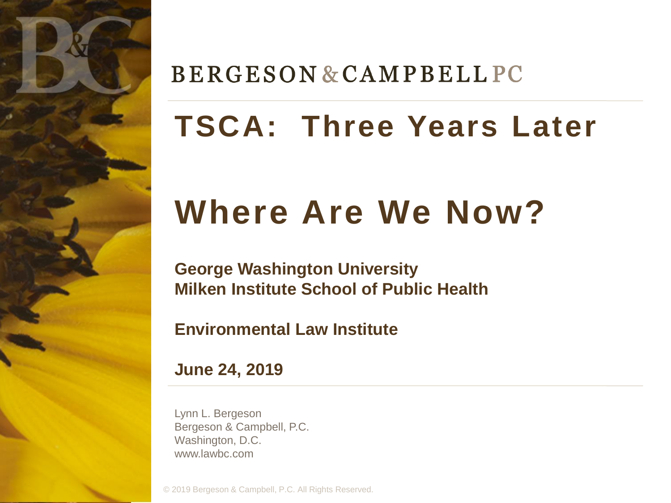

## **BERGESON & CAMPBELL PC**

# **TSCA: Three Years Later**

# **Where Are We Now?**

**George Washington University Milken Institute School of Public Health**

**Environmental Law Institute**

**June 24, 2019**

Lynn L. Bergeson Bergeson & Campbell, P.C. Washington, D.C. www.lawbc.com

© 2019 Bergeson & Campbell, P.C. All Rights Reserved.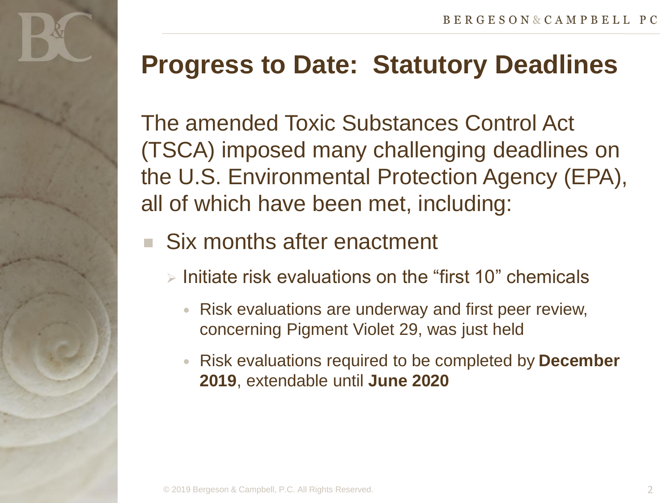The amended Toxic Substances Control Act (TSCA) imposed many challenging deadlines on the U.S. Environmental Protection Agency (EPA), all of which have been met, including:

- Six months after enactment
	- $\triangleright$  Initiate risk evaluations on the "first 10" chemicals
		- Risk evaluations are underway and first peer review, concerning Pigment Violet 29, was just held
		- Risk evaluations required to be completed by **December 2019**, extendable until **June 2020**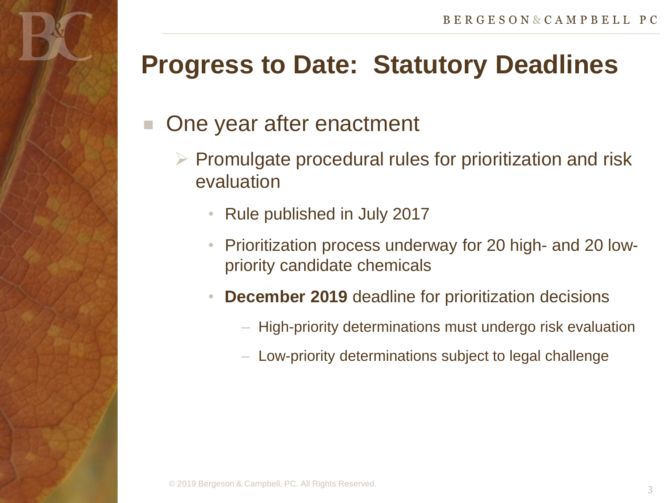#### One year after enactment

- $\triangleright$  Promulgate procedural rules for prioritization and risk evaluation
	- Rule published in July 2017
	- Prioritization process underway for 20 high- and 20 lowpriority candidate chemicals
	- **December 2019** deadline for prioritization decisions
		- High-priority determinations must undergo risk evaluation
		- Low-priority determinations subject to legal challenge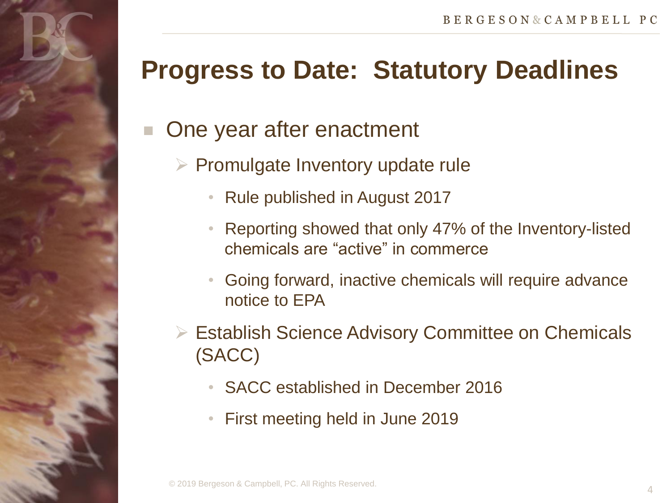### One year after enactment

- $\triangleright$  Promulgate Inventory update rule
	- Rule published in August 2017
	- Reporting showed that only 47% of the Inventory-listed chemicals are "active" in commerce
	- Going forward, inactive chemicals will require advance notice to EPA
- **► Establish Science Advisory Committee on Chemicals** (SACC)
	- SACC established in December 2016
	- First meeting held in June 2019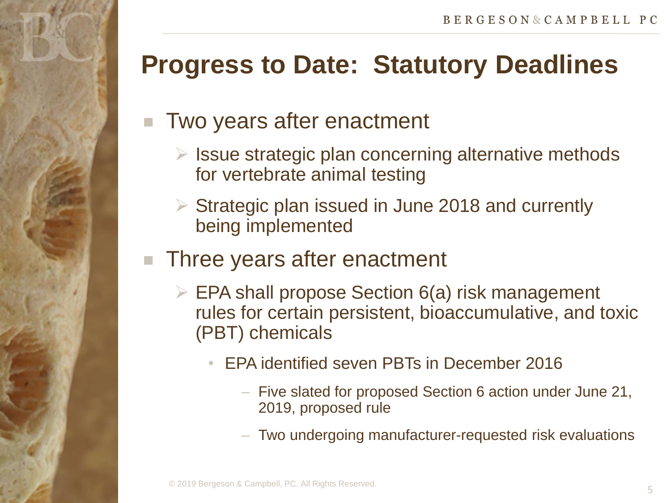#### Two years after enactment

- $\triangleright$  Issue strategic plan concerning alternative methods for vertebrate animal testing
- $\triangleright$  Strategic plan issued in June 2018 and currently being implemented

#### Three years after enactment

- $\triangleright$  EPA shall propose Section 6(a) risk management rules for certain persistent, bioaccumulative, and toxic (PBT) chemicals
	- EPA identified seven PBTs in December 2016
		- ‒ Five slated for proposed Section 6 action under June 21, 2019, proposed rule
		- ‒ Two undergoing manufacturer-requested risk evaluations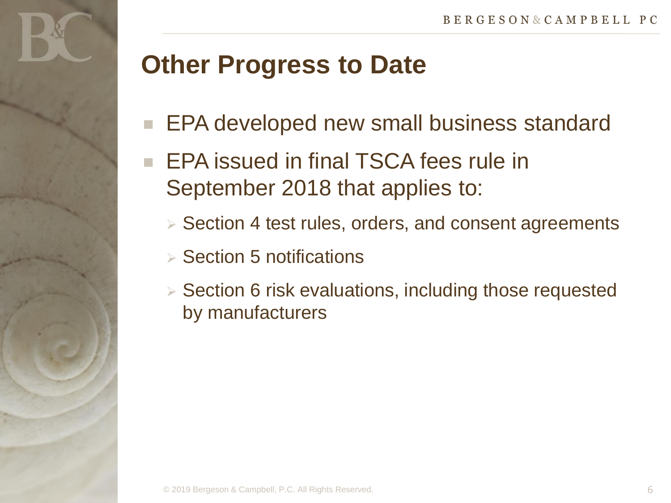## **Other Progress to Date**

- EPA developed new small business standard
- EPA issued in final TSCA fees rule in September 2018 that applies to:
	- $\triangleright$  Section 4 test rules, orders, and consent agreements
	- $\triangleright$  Section 5 notifications
	- $\triangleright$  Section 6 risk evaluations, including those requested by manufacturers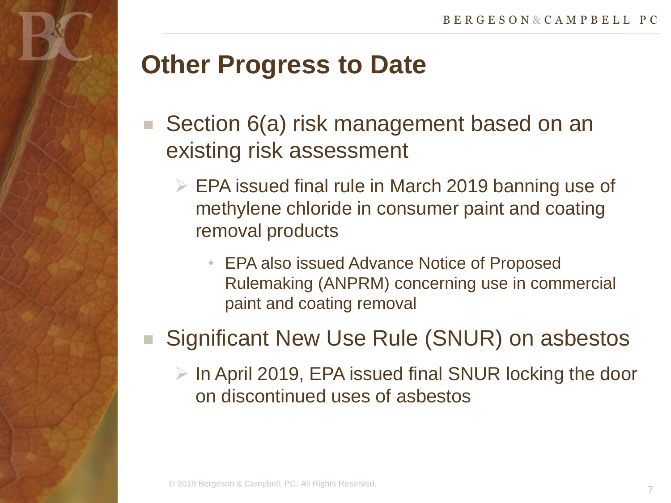# **Other Progress to Date**

- Section 6(a) risk management based on an existing risk assessment
	- $\triangleright$  EPA issued final rule in March 2019 banning use of methylene chloride in consumer paint and coating removal products
		- EPA also issued Advance Notice of Proposed Rulemaking (ANPRM) concerning use in commercial paint and coating removal

### Significant New Use Rule (SNUR) on asbestos

 $\triangleright$  In April 2019, EPA issued final SNUR locking the door on discontinued uses of asbestos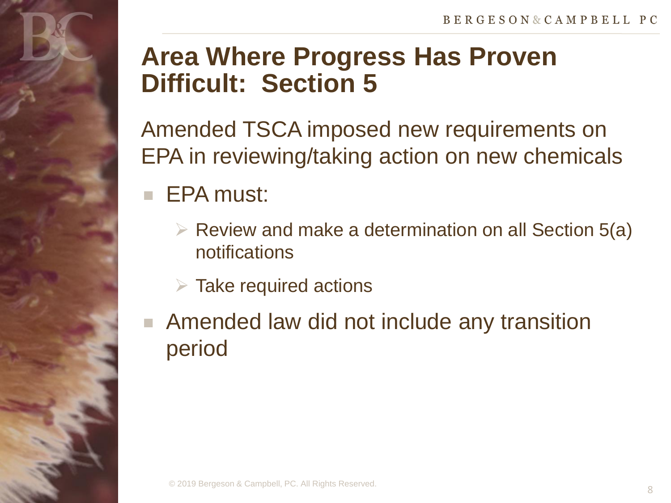## **Area Where Progress Has Proven Difficult: Section 5**

Amended TSCA imposed new requirements on EPA in reviewing/taking action on new chemicals

### EPA must:

- $\triangleright$  Review and make a determination on all Section 5(a) notifications
- $\triangleright$  Take required actions
- **Amended law did not include any transition** period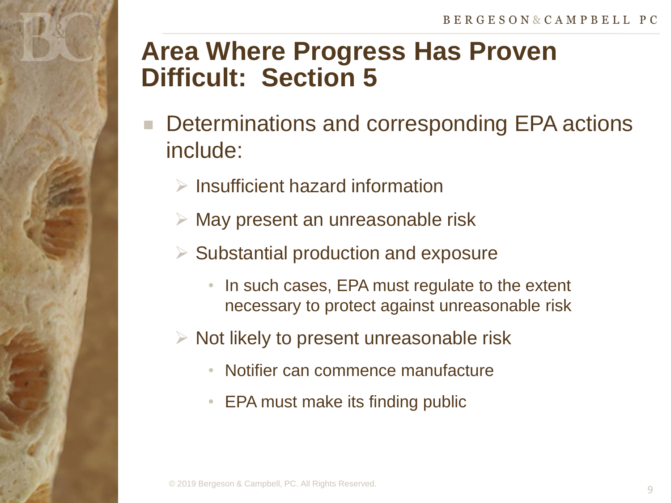## **Area Where Progress Has Proven Difficult: Section 5**

- Determinations and corresponding EPA actions include:
	- $\triangleright$  Insufficient hazard information
	- $\triangleright$  May present an unreasonable risk
	- $\triangleright$  Substantial production and exposure
		- In such cases, EPA must regulate to the extent necessary to protect against unreasonable risk
	- $\triangleright$  Not likely to present unreasonable risk
		- Notifier can commence manufacture
		- EPA must make its finding public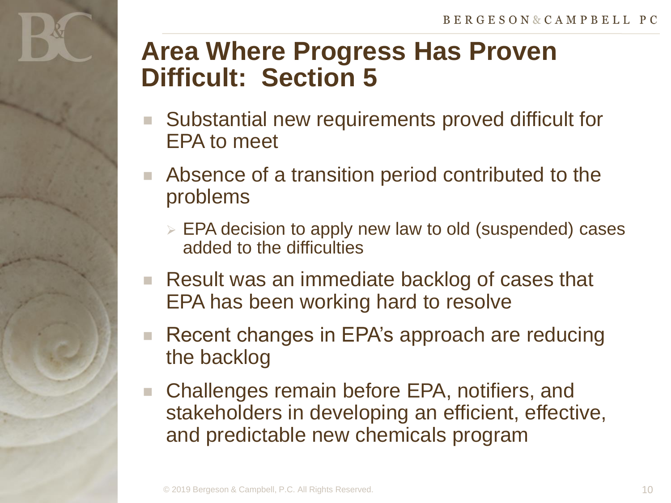## **Area Where Progress Has Proven Difficult: Section 5**

- Substantial new requirements proved difficult for EPA to meet
- Absence of a transition period contributed to the problems
	- **EPA decision to apply new law to old (suspended) cases** added to the difficulties
- Result was an immediate backlog of cases that EPA has been working hard to resolve
- Recent changes in EPA's approach are reducing the backlog
- Challenges remain before EPA, notifiers, and stakeholders in developing an efficient, effective, and predictable new chemicals program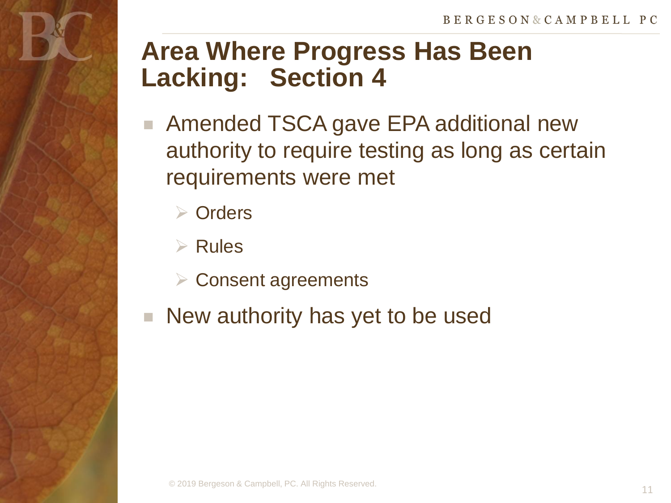## **Area Where Progress Has Been Lacking: Section 4**

- Amended TSCA gave EPA additional new authority to require testing as long as certain requirements were met
	- **▶ Orders**
	- $\triangleright$  Rules
	- **▶ Consent agreements**
- New authority has yet to be used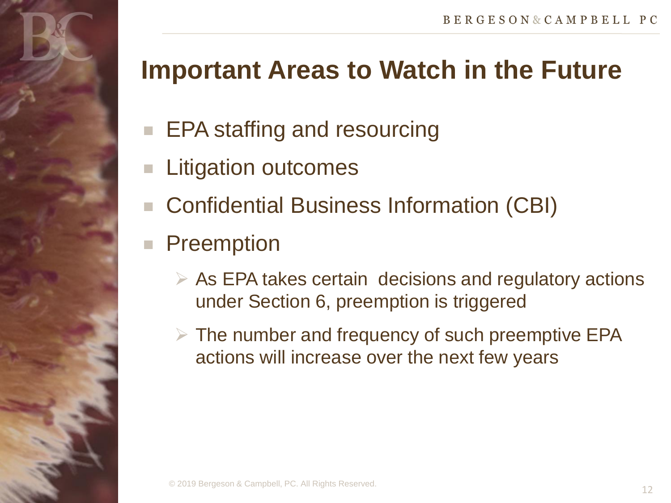- **EPA staffing and resourcing**
- Litigation outcomes
- Confidential Business Information (CBI)
- **Preemption** 
	- $\triangleright$  As EPA takes certain decisions and regulatory actions under Section 6, preemption is triggered
	- $\triangleright$  The number and frequency of such preemptive EPA actions will increase over the next few years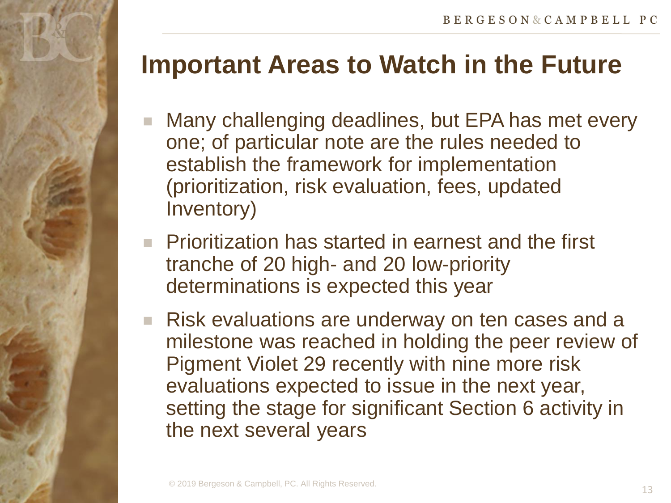- Many challenging deadlines, but EPA has met every one; of particular note are the rules needed to establish the framework for implementation (prioritization, risk evaluation, fees, updated Inventory)
- **Prioritization has started in earnest and the first** tranche of 20 high- and 20 low-priority determinations is expected this year
- **Risk evaluations are underway on ten cases and a** milestone was reached in holding the peer review of Pigment Violet 29 recently with nine more risk evaluations expected to issue in the next year, setting the stage for significant Section 6 activity in the next several years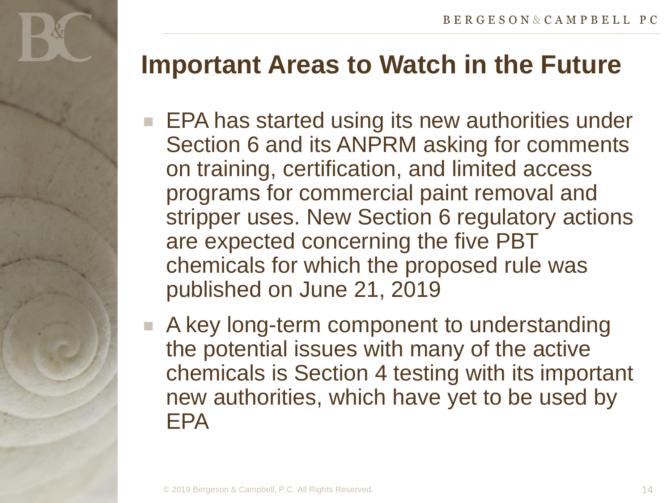- **EPA has started using its new authorities under** Section 6 and its ANPRM asking for comments on training, certification, and limited access programs for commercial paint removal and stripper uses. New Section 6 regulatory actions are expected concerning the five PBT chemicals for which the proposed rule was published on June 21, 2019
- A key long-term component to understanding the potential issues with many of the active chemicals is Section 4 testing with its important new authorities, which have yet to be used by EPA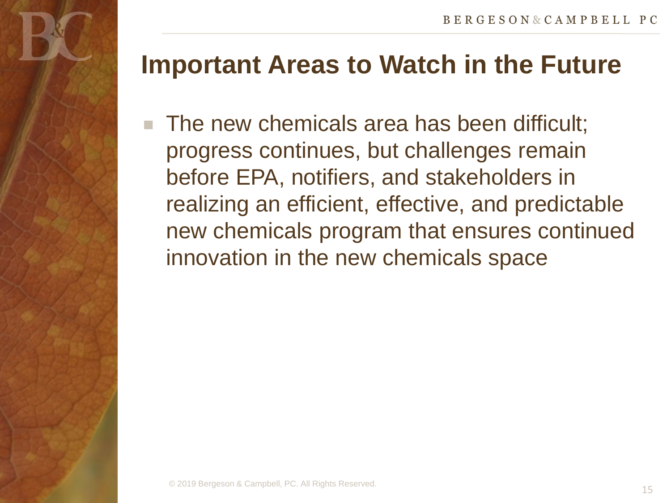The new chemicals area has been difficult; progress continues, but challenges remain before EPA, notifiers, and stakeholders in realizing an efficient, effective, and predictable new chemicals program that ensures continued innovation in the new chemicals space